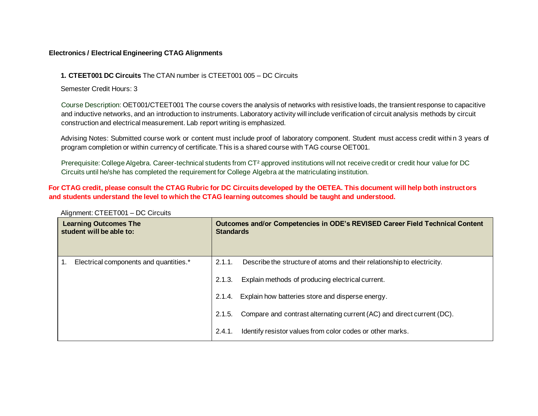## **Electronics / Electrical Engineering CTAG Alignments**

## **1. CTEET001 DC Circuits** The CTAN number is CTEET001 005 – DC Circuits

Semester Credit Hours: 3

Course Description: OET001/CTEET001 The course covers the analysis of networks with resistive loads, the transient response to capacitive and inductive networks, and an introduction to instruments. Laboratory activity will include verification of circuit analysis methods by circuit construction and electrical measurement. Lab report writing is emphasized.

Advising Notes: Submitted course work or content must include proof of laboratory component. Student must access credit within 3 years of program completion or within currency of certificate. This is a shared course with TAG course OET001.

Prerequisite: College Algebra. Career-technical students from CT² approved institutions will not receive credit or credit hour value for DC Circuits until he/she has completed the requirement for College Algebra at the matriculating institution.

## **For CTAG credit, please consult the CTAG Rubric for DC Circuits developed by the OETEA. This document will help both instructors and students understand the level to which the CTAG learning outcomes should be taught and understood.**

| <b>Learning Outcomes The</b><br>student will be able to: | Outcomes and/or Competencies in ODE's REVISED Career Field Technical Content<br><b>Standards</b>                                               |
|----------------------------------------------------------|------------------------------------------------------------------------------------------------------------------------------------------------|
| Electrical components and quantities.*                   | Describe the structure of atoms and their relationship to electricity.<br>2.1.1.<br>Explain methods of producing electrical current.<br>2.1.3. |
|                                                          | Explain how batteries store and disperse energy.<br>2.1.4.                                                                                     |
|                                                          | Compare and contrast alternating current (AC) and direct current (DC).<br>2.1.5.                                                               |
|                                                          | Identify resistor values from color codes or other marks.<br>2.4.1.                                                                            |

Alignment: CTEET001 – DC Circuits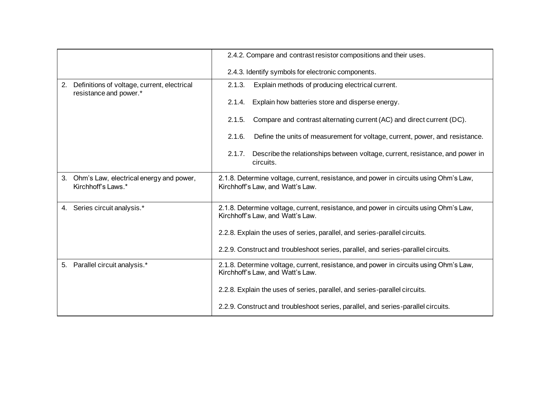|    |                                                                       | 2.4.2. Compare and contrast resistor compositions and their uses.                                                         |
|----|-----------------------------------------------------------------------|---------------------------------------------------------------------------------------------------------------------------|
|    |                                                                       | 2.4.3. Identify symbols for electronic components.                                                                        |
| 2. | Definitions of voltage, current, electrical<br>resistance and power.* | Explain methods of producing electrical current.<br>2.1.3.                                                                |
|    |                                                                       | Explain how batteries store and disperse energy.<br>2.1.4.                                                                |
|    |                                                                       | Compare and contrast alternating current (AC) and direct current (DC).<br>2.1.5.                                          |
|    |                                                                       | Define the units of measurement for voltage, current, power, and resistance.<br>2.1.6.                                    |
|    |                                                                       | Describe the relationships between voltage, current, resistance, and power in<br>2.1.7.<br>circuits.                      |
| 3. | Ohm's Law, electrical energy and power,<br>Kirchhoff's Laws.*         | 2.1.8. Determine voltage, current, resistance, and power in circuits using Ohm's Law,<br>Kirchhoff's Law, and Watt's Law. |
|    | 4. Series circuit analysis.*                                          | 2.1.8. Determine voltage, current, resistance, and power in circuits using Ohm's Law,<br>Kirchhoff's Law, and Watt's Law. |
|    |                                                                       | 2.2.8. Explain the uses of series, parallel, and series-parallel circuits.                                                |
|    |                                                                       | 2.2.9. Construct and troubleshoot series, parallel, and series-parallel circuits.                                         |
| 5. | Parallel circuit analysis.*                                           | 2.1.8. Determine voltage, current, resistance, and power in circuits using Ohm's Law,<br>Kirchhoff's Law, and Watt's Law. |
|    |                                                                       | 2.2.8. Explain the uses of series, parallel, and series-parallel circuits.                                                |
|    |                                                                       | 2.2.9. Construct and troubleshoot series, parallel, and series-parallel circuits.                                         |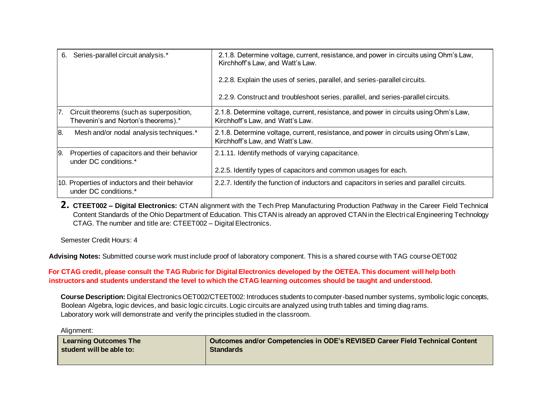| 6.  | Series-parallel circuit analysis.*                                              | 2.1.8. Determine voltage, current, resistance, and power in circuits using Ohm's Law,<br>Kirchhoff's Law, and Watt's Law.<br>2.2.8. Explain the uses of series, parallel, and series-parallel circuits.<br>2.2.9. Construct and troubleshoot series, parallel, and series-parallel circuits. |
|-----|---------------------------------------------------------------------------------|----------------------------------------------------------------------------------------------------------------------------------------------------------------------------------------------------------------------------------------------------------------------------------------------|
| 7.  | Circuit theorems (such as superposition,<br>Thevenin's and Norton's theorems).* | 2.1.8. Determine voltage, current, resistance, and power in circuits using Ohm's Law,<br>Kirchhoff's Law, and Watt's Law.                                                                                                                                                                    |
| 8.  | Mesh and/or nodal analysis techniques.*                                         | 2.1.8. Determine voltage, current, resistance, and power in circuits using Ohm's Law,<br>Kirchhoff's Law, and Watt's Law.                                                                                                                                                                    |
| 19. | Properties of capacitors and their behavior<br>under DC conditions.*            | 2.1.11. Identify methods of varying capacitance.<br>2.2.5. Identify types of capacitors and common usages for each.                                                                                                                                                                          |
|     | 10. Properties of inductors and their behavior<br>under DC conditions.*         | 2.2.7. Identify the function of inductors and capacitors in series and parallel circuits.                                                                                                                                                                                                    |

**2. CTEET002 – Digital Electronics:** CTAN alignment with the Tech Prep Manufacturing Production Pathway in the Career Field Technical Content Standards of the Ohio Department of Education. This CTAN is already an approved CTAN in the Electrical Engineering Technology CTAG. The number and title are: CTEET002 – Digital Electronics.

Semester Credit Hours: 4

**Advising Notes:** Submitted course work must include proof of laboratory component. This is a shared course with TAG course OET002

**For CTAG credit, please consult the TAG Rubric for Digital Electronics developed by the OETEA. This document will help both instructors and students understand the level to which the CTAG learning outcomes should be taught and understood.**

**Course Description:** Digital Electronics OET002/CTEET002: Introduces students to computer-based number systems, symbolic logic concepts, Boolean Algebra, logic devices, and basic logic circuits. Logic circuits are analyzed using truth tables and timing diag rams. Laboratory work will demonstrate and verify the principles studied in the classroom.

Alignment:

| <b>Learning Outcomes The</b> | Outcomes and/or Competencies in ODE's REVISED Career Field Technical Content |
|------------------------------|------------------------------------------------------------------------------|
| student will be able to:     | <b>Standards</b>                                                             |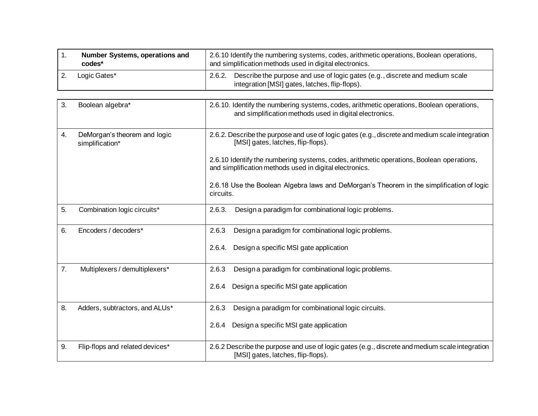| <b>Number Systems, operations and</b><br>codes* | 2.6.10 Identify the numbering systems, codes, arithmetic operations, Boolean operations,<br>and simplification methods used in digital electronics. |
|-------------------------------------------------|-----------------------------------------------------------------------------------------------------------------------------------------------------|
| Logic Gates*                                    | Describe the purpose and use of logic gates (e.g., discrete and medium scale<br>2.6.2.<br>integration [MSI] gates, latches, flip-flops).            |

| 3. | Boolean algebra*                                | 2.6.10. Identify the numbering systems, codes, arithmetic operations, Boolean operations,<br>and simplification methods used in digital electronics. |
|----|-------------------------------------------------|------------------------------------------------------------------------------------------------------------------------------------------------------|
| 4. | DeMorgan's theorem and logic<br>simplification* | 2.6.2. Describe the purpose and use of logic gates (e.g., discrete and medium scale integration<br>[MSI] gates, latches, flip-flops).                |
|    |                                                 | 2.6.10 Identify the numbering systems, codes, arithmetic operations, Boolean operations,<br>and simplification methods used in digital electronics.  |
|    |                                                 | 2.6.18 Use the Boolean Algebra laws and DeMorgan's Theorem in the simplification of logic<br>circuits.                                               |
| 5. | Combination logic circuits*                     | Design a paradigm for combinational logic problems.<br>2.6.3.                                                                                        |
| 6. | Encoders / decoders*                            | Design a paradigm for combinational logic problems.<br>2.6.3                                                                                         |
|    |                                                 | Design a specific MSI gate application<br>2.6.4.                                                                                                     |
| 7. | Multiplexers / demultiplexers*                  | Design a paradigm for combinational logic problems.<br>2.6.3                                                                                         |
|    |                                                 | Design a specific MSI gate application<br>2.6.4                                                                                                      |
| 8. | Adders, subtractors, and ALUs*                  | Design a paradigm for combinational logic circuits.<br>2.6.3                                                                                         |
|    |                                                 | Design a specific MSI gate application<br>2.6.4                                                                                                      |
| 9. | Flip-flops and related devices*                 | 2.6.2 Describe the purpose and use of logic gates (e.g., discrete and medium scale integration<br>[MSI] gates, latches, flip-flops).                 |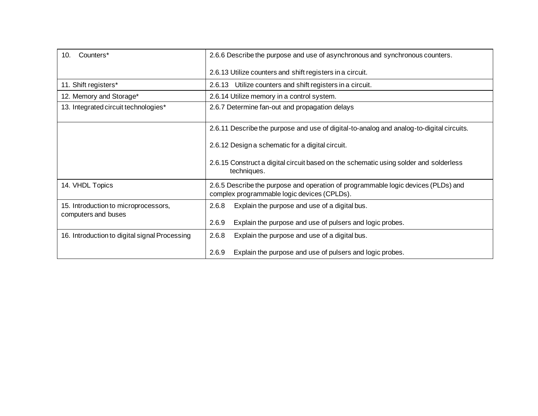| Counters*<br>10.                                            | 2.6.6 Describe the purpose and use of asynchronous and synchronous counters.                                                     |
|-------------------------------------------------------------|----------------------------------------------------------------------------------------------------------------------------------|
|                                                             | 2.6.13 Utilize counters and shift registers in a circuit.                                                                        |
| 11. Shift registers*                                        | 2.6.13 Utilize counters and shift registers in a circuit.                                                                        |
| 12. Memory and Storage*                                     | 2.6.14 Utilize memory in a control system.                                                                                       |
| 13. Integrated circuit technologies*                        | 2.6.7 Determine fan-out and propagation delays                                                                                   |
|                                                             | 2.6.11 Describe the purpose and use of digital-to-analog and analog-to-digital circuits.                                         |
|                                                             | 2.6.12 Design a schematic for a digital circuit.                                                                                 |
|                                                             | 2.6.15 Construct a digital circuit based on the schematic using solder and solderless<br>techniques.                             |
| 14. VHDL Topics                                             | 2.6.5 Describe the purpose and operation of programmable logic devices (PLDs) and<br>complex programmable logic devices (CPLDs). |
| 15. Introduction to microprocessors,<br>computers and buses | 2.6.8<br>Explain the purpose and use of a digital bus.                                                                           |
|                                                             | 2.6.9<br>Explain the purpose and use of pulsers and logic probes.                                                                |
| 16. Introduction to digital signal Processing               | 2.6.8<br>Explain the purpose and use of a digital bus.                                                                           |
|                                                             | 2.6.9<br>Explain the purpose and use of pulsers and logic probes.                                                                |